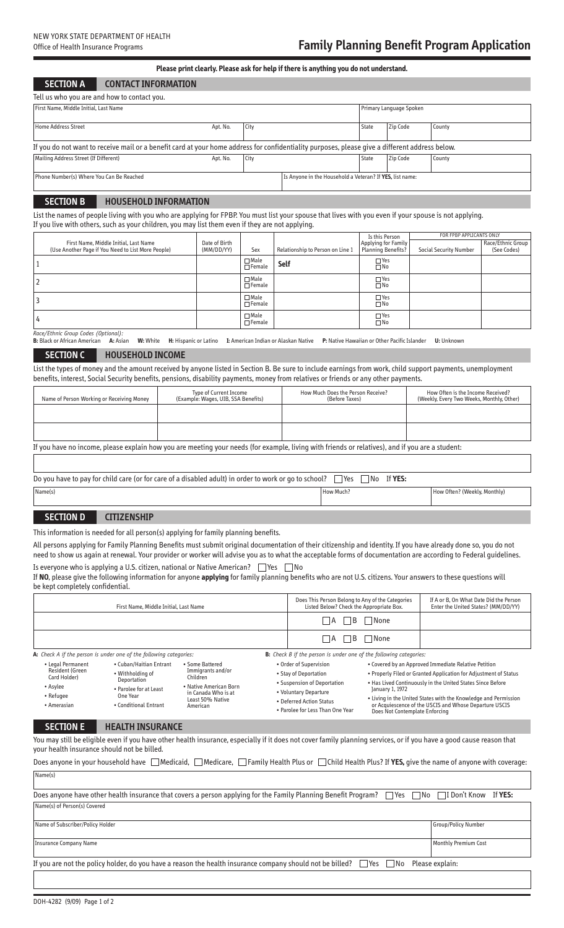# **Please printclearly. Please ask for help if there is anything you do not understand.**

**SECTION A CONTACT INFORMATION**

| Tell us who you are and how to contact you.                                                                                                    |          |      |                                                          |                         |          |        |  |
|------------------------------------------------------------------------------------------------------------------------------------------------|----------|------|----------------------------------------------------------|-------------------------|----------|--------|--|
| First Name, Middle Initial, Last Name                                                                                                          |          |      |                                                          | Primary Language Spoken |          |        |  |
| Home Address Street                                                                                                                            | Apt. No. | City |                                                          | <b>State</b>            | Zip Code | County |  |
| If you do not want to receive mail or a benefit card at your home address for confidentiality purposes, please give a different address below. |          |      |                                                          |                         |          |        |  |
| Mailing Address Street (If Different)                                                                                                          | Apt. No. | City |                                                          | State                   | Zip Code | County |  |
| Phone Number(s) Where You Can Be Reached                                                                                                       |          |      | Is Anyone in the Household a Veteran? If YES, list name: |                         |          |        |  |

# **SECTION B HOUSEHOLD INFORMATION**

List the names of people living with you who are applying for FPBP. You must list your spouse that lives with you even if your spouse is not applying. If you live with others, such as your children, you may list them even if they are not applying.

|  |                                                    |               |                              |                                  | Is this Person          | FOR FPBP APPLICANTS ONLY      |                   |
|--|----------------------------------------------------|---------------|------------------------------|----------------------------------|-------------------------|-------------------------------|-------------------|
|  | First Name, Middle Initial, Last Name              | Date of Birth |                              |                                  | Applying for Family     |                               | Race/Ethnic Group |
|  | (Use Another Page if You Need to List More People) | (MM/DD/YY)    | Sex                          | Relationship to Person on Line 1 | Planning Benefits?      | <b>Social Security Number</b> | (See Codes)       |
|  |                                                    |               | $\Box$ Male<br>$\Box$ Female | <b>Self</b>                      | $\Box$ Yes<br>$\Box$ No |                               |                   |
|  |                                                    |               | $\Box$ Male<br>$\Box$ Female |                                  | $\Box$ Yes<br>$\Box$ No |                               |                   |
|  |                                                    |               | $\Box$ Male<br>$\Box$ Female |                                  | $\Box$ Yes<br>$\Box$ No |                               |                   |
|  |                                                    |               | $\Box$ Male<br>$\Box$ Female |                                  | $\Box$ Yes<br>$\Box$ No |                               |                   |

*Race/Ethnic Group Codes (Optional):*

**B:** Black or African American **A:** Asian **W:** White **H:** Hispanic or Latino **I:** American Indian or Alaskan Native **P:** Native Hawaiian or Other Pacific Islander **U:** Unknown

## **SECTION C HOUSEHOLD INCOME**

List the types of money and the amount received by anyone listed in Section B. Be sure to include earnings from work, child support payments, unemployment benefits, interest, Social Security benefits, pensions, disability payments, money from relatives or friends or any other payments.

| Name of Person Working or Receiving Money                                                                                                       | Type of Current Income<br>(Example: Wages, UIB, SSA Benefits) | How Much Does the Person Receive?<br>(Before Taxes) | How Often is the Income Received?<br>(Weekly, Every Two Weeks, Monthly, Other) |  |  |  |  |
|-------------------------------------------------------------------------------------------------------------------------------------------------|---------------------------------------------------------------|-----------------------------------------------------|--------------------------------------------------------------------------------|--|--|--|--|
|                                                                                                                                                 |                                                               |                                                     |                                                                                |  |  |  |  |
|                                                                                                                                                 |                                                               |                                                     |                                                                                |  |  |  |  |
| If you have no income, please explain how you are meeting your needs (for example, living with friends or relatives), and if you are a student: |                                                               |                                                     |                                                                                |  |  |  |  |

| Do you have to pay for child care (or for care of a disabled adult) in order to work or go to school?<br>`YES.<br>l Yes<br>l No |           |                              |  |  |  |  |
|---------------------------------------------------------------------------------------------------------------------------------|-----------|------------------------------|--|--|--|--|
| Name(s)                                                                                                                         | How Much: | How Often? (Weekly, Monthly) |  |  |  |  |

## **SECTION D CITIZENSHIP**

This information is needed for all person(s) applying for family planning benefits.

All persons applying for Family Planning Benefits must submit original documentation of their citizenship and identity. If you have already done so, you do not need to show us again at renewal. Your provider or worker will advise you as to what the acceptable forms of documentation are according to Federal guidelines. Is everyone who is applying a U.S. citizen, national or Native American?  $\Box$  Yes  $\Box$  No

If **NO**, please give the following information for anyone **applying** for family planning benefits who are not U.S. citizens. Your answers to these questions will be kept completely confidential.

| First Name, Middle Initial, Last Name                                                                                                                                                                                                                                                                                                                                                                                |                                                                    |  | Does This Person Belong to Any of the Categories<br>Listed Below? Check the Appropriate Box.                                                                            |                                                                                                                                                                                                                                                                                                                                                                          | If A or B. On What Date Did the Person<br>Enter the United States? (MM/DD/YY) |  |
|----------------------------------------------------------------------------------------------------------------------------------------------------------------------------------------------------------------------------------------------------------------------------------------------------------------------------------------------------------------------------------------------------------------------|--------------------------------------------------------------------|--|-------------------------------------------------------------------------------------------------------------------------------------------------------------------------|--------------------------------------------------------------------------------------------------------------------------------------------------------------------------------------------------------------------------------------------------------------------------------------------------------------------------------------------------------------------------|-------------------------------------------------------------------------------|--|
|                                                                                                                                                                                                                                                                                                                                                                                                                      |                                                                    |  | B<br>- I A                                                                                                                                                              | ∏None                                                                                                                                                                                                                                                                                                                                                                    |                                                                               |  |
|                                                                                                                                                                                                                                                                                                                                                                                                                      |                                                                    |  |                                                                                                                                                                         | B<br>- IA                                                                                                                                                                                                                                                                                                                                                                | ∃None                                                                         |  |
|                                                                                                                                                                                                                                                                                                                                                                                                                      | A: Check A if the person is under one of the following categories: |  |                                                                                                                                                                         | <b>B:</b> Check B if the person is under one of the following categories:                                                                                                                                                                                                                                                                                                |                                                                               |  |
| • Legal Permanent<br>• Cuban/Haitian Entrant<br>• Some Battered<br><b>Resident (Green</b><br>Immigrants and/or<br>• Withholding of<br>Card Holder)<br>Children<br>Deportation<br>• Native American Born<br>• Asylee<br>• Parolee for at Least<br>in Canada Who is at<br>One Year<br>• Refugee<br>Least 50% Native<br>• Conditional Entrant<br>• Amerasian<br>American                                                |                                                                    |  | • Order of Supervision<br>• Stay of Deportation<br>• Suspension of Deportation<br>• Voluntary Departure<br>• Deferred Action Status<br>. Parolee for Less Than One Year | • Covered by an Approved Immediate Relative Petition<br>• Properly Filed or Granted Application for Adjustment of Status<br>. Has Lived Continuously in the United States Since Before<br>January 1, 1972<br>• Living in the United States with the Knowledge and Permission<br>or Acquiescence of the USCIS and Whose Departure USCIS<br>Does Not Contemplate Enforcing |                                                                               |  |
| <b>SECTION E</b>                                                                                                                                                                                                                                                                                                                                                                                                     | <b>HEALTH INSURANCE</b>                                            |  |                                                                                                                                                                         |                                                                                                                                                                                                                                                                                                                                                                          |                                                                               |  |
| You may still be eligible even if you have other health insurance, especially if it does not cover family planning services, or if you have a good cause reason that<br>your health insurance should not be billed.<br>Does anyone in your household have $\Box$ Medicaid, $\Box$ Medicare, $\Box$ Family Health Plus or $\Box$ Child Health Plus? If <b>YES</b> , give the name of anyone with coverage:<br>Name(s) |                                                                    |  |                                                                                                                                                                         |                                                                                                                                                                                                                                                                                                                                                                          |                                                                               |  |
| Does anyone have other health insurance that covers a person applying for the Family Planning Benefit Program?<br>$\Box$ No<br>I Don't Know If YES:<br><b>Primary</b>                                                                                                                                                                                                                                                |                                                                    |  |                                                                                                                                                                         |                                                                                                                                                                                                                                                                                                                                                                          |                                                                               |  |
| Name(s) of Person(s) Covered                                                                                                                                                                                                                                                                                                                                                                                         |                                                                    |  |                                                                                                                                                                         |                                                                                                                                                                                                                                                                                                                                                                          |                                                                               |  |
| Name of Subscriber/Policy Holder<br>Group/Policy Number                                                                                                                                                                                                                                                                                                                                                              |                                                                    |  |                                                                                                                                                                         |                                                                                                                                                                                                                                                                                                                                                                          |                                                                               |  |
| <b>Monthly Premium Cost</b><br><b>Insurance Company Name</b>                                                                                                                                                                                                                                                                                                                                                         |                                                                    |  |                                                                                                                                                                         |                                                                                                                                                                                                                                                                                                                                                                          |                                                                               |  |
| If you are not the policy holder, do you have a reason the health insurance company should not be billed?<br>Please explain:<br><b>TYes</b><br>  No                                                                                                                                                                                                                                                                  |                                                                    |  |                                                                                                                                                                         |                                                                                                                                                                                                                                                                                                                                                                          |                                                                               |  |
|                                                                                                                                                                                                                                                                                                                                                                                                                      |                                                                    |  |                                                                                                                                                                         |                                                                                                                                                                                                                                                                                                                                                                          |                                                                               |  |
| DOH-4282 (9/09) Page 1 of 2                                                                                                                                                                                                                                                                                                                                                                                          |                                                                    |  |                                                                                                                                                                         |                                                                                                                                                                                                                                                                                                                                                                          |                                                                               |  |